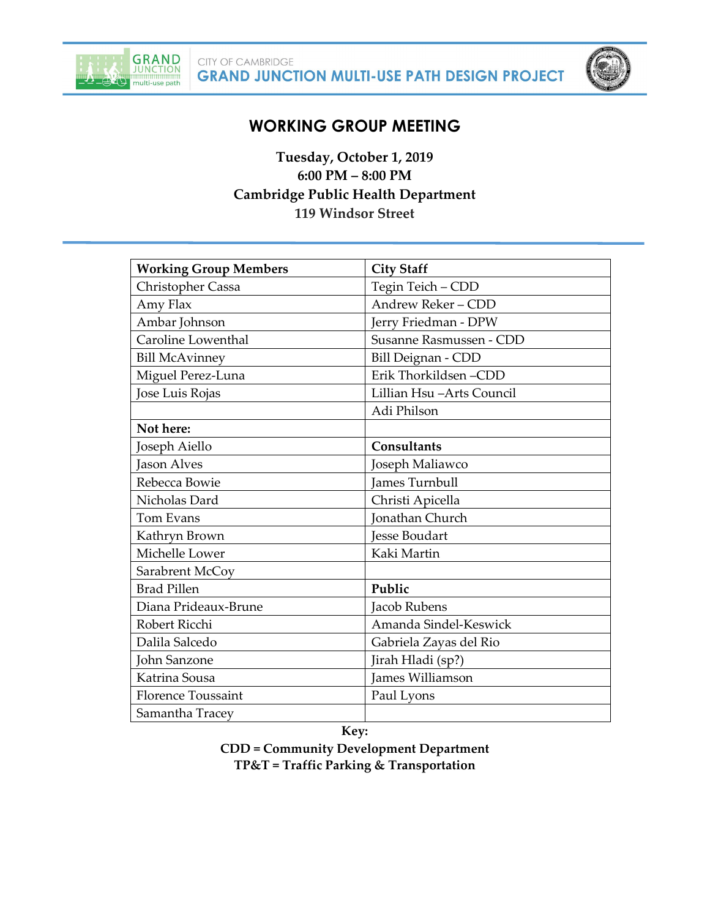



# **WORKING GROUP MEETING**

**Tuesday, October 1, 2019 6:00 PM – 8:00 PM Cambridge Public Health Department 119 Windsor Street**

| <b>Working Group Members</b> | <b>City Staff</b>         |
|------------------------------|---------------------------|
| Christopher Cassa            | Tegin Teich - CDD         |
| Amy Flax                     | Andrew Reker - CDD        |
| Ambar Johnson                | Jerry Friedman - DPW      |
| Caroline Lowenthal           | Susanne Rasmussen - CDD   |
| <b>Bill McAvinney</b>        | <b>Bill Deignan - CDD</b> |
| Miguel Perez-Luna            | Erik Thorkildsen-CDD      |
| Jose Luis Rojas              | Lillian Hsu-Arts Council  |
|                              | Adi Philson               |
| Not here:                    |                           |
| Joseph Aiello                | <b>Consultants</b>        |
| <b>Jason Alves</b>           | Joseph Maliawco           |
| Rebecca Bowie                | James Turnbull            |
| Nicholas Dard                | Christi Apicella          |
| Tom Evans                    | <b>Jonathan Church</b>    |
| Kathryn Brown                | Jesse Boudart             |
| Michelle Lower               | Kaki Martin               |
| Sarabrent McCoy              |                           |
| <b>Brad Pillen</b>           | Public                    |
| Diana Prideaux-Brune         | Jacob Rubens              |
| Robert Ricchi                | Amanda Sindel-Keswick     |
| Dalila Salcedo               | Gabriela Zayas del Rio    |
| John Sanzone                 | Jirah Hladi (sp?)         |
| Katrina Sousa                | James Williamson          |
| <b>Florence Toussaint</b>    | Paul Lyons                |
| Samantha Tracey              |                           |

**Key:**

**CDD = Community Development Department TP&T = Traffic Parking & Transportation**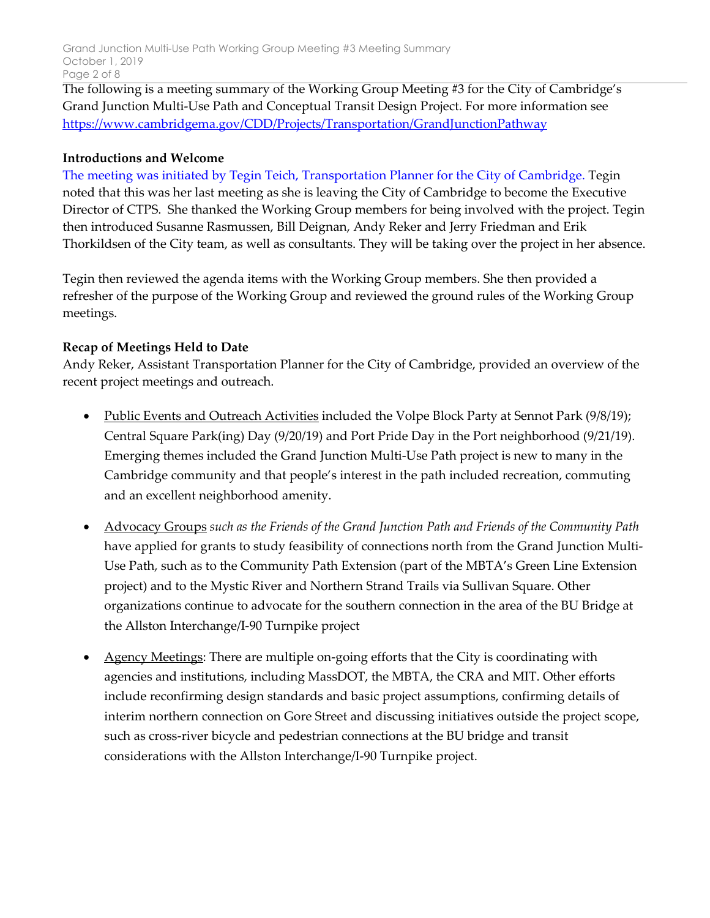Grand Junction Multi-Use Path Working Group Meeting #3 Meeting Summary October 1, 2019 Page 2 of 8

The following is a meeting summary of the Working Group Meeting #3 for the City of Cambridge's Grand Junction Multi-Use Path and Conceptual Transit Design Project. For more information see [https://www.cambridgema.gov/CDD/Projects/Transportation/GrandJunctionPathway](https://urldefense.proofpoint.com/v2/url?u=https-3A__www.cambridgema.gov_CDD_Projects_Transportation_GrandJunctionPathway&d=DwMFAg&c=Wcuf9k1_EBHeUkWddeRrap9w7owjHzm9fTmkRSxmUBs&r=IJFRE7ILXWrX_o9-PqaKJplEm2jRiFDY8Ujd8vdEdW0&m=ejtaoQpi7VJQCaWQyBR9KcYdbxxjVONNLDEKaZ7GjvI&s=2tOxScDTiqo2hRXyjW85D6VU-1kCxRtZWJTjkanz-II&e=)

#### **Introductions and Welcome**

The meeting was initiated by Tegin Teich, Transportation Planner for the City of Cambridge. Tegin noted that this was her last meeting as she is leaving the City of Cambridge to become the Executive Director of CTPS. She thanked the Working Group members for being involved with the project. Tegin then introduced Susanne Rasmussen, Bill Deignan, Andy Reker and Jerry Friedman and Erik Thorkildsen of the City team, as well as consultants. They will be taking over the project in her absence.

Tegin then reviewed the agenda items with the Working Group members. She then provided a refresher of the purpose of the Working Group and reviewed the ground rules of the Working Group meetings.

#### **Recap of Meetings Held to Date**

Andy Reker, Assistant Transportation Planner for the City of Cambridge, provided an overview of the recent project meetings and outreach.

- Public Events and Outreach Activities included the Volpe Block Party at Sennot Park (9/8/19); Central Square Park(ing) Day (9/20/19) and Port Pride Day in the Port neighborhood (9/21/19). Emerging themes included the Grand Junction Multi-Use Path project is new to many in the Cambridge community and that people's interest in the path included recreation, commuting and an excellent neighborhood amenity.
- Advocacy Groups *such as the Friends of the Grand Junction Path and Friends of the Community Path* have applied for grants to study feasibility of connections north from the Grand Junction Multi-Use Path, such as to the Community Path Extension (part of the MBTA's Green Line Extension project) and to the Mystic River and Northern Strand Trails via Sullivan Square. Other organizations continue to advocate for the southern connection in the area of the BU Bridge at the Allston Interchange/I-90 Turnpike project
- Agency Meetings: There are multiple on-going efforts that the City is coordinating with agencies and institutions, including MassDOT, the MBTA, the CRA and MIT. Other efforts include reconfirming design standards and basic project assumptions, confirming details of interim northern connection on Gore Street and discussing initiatives outside the project scope, such as cross-river bicycle and pedestrian connections at the BU bridge and transit considerations with the Allston Interchange/I-90 Turnpike project.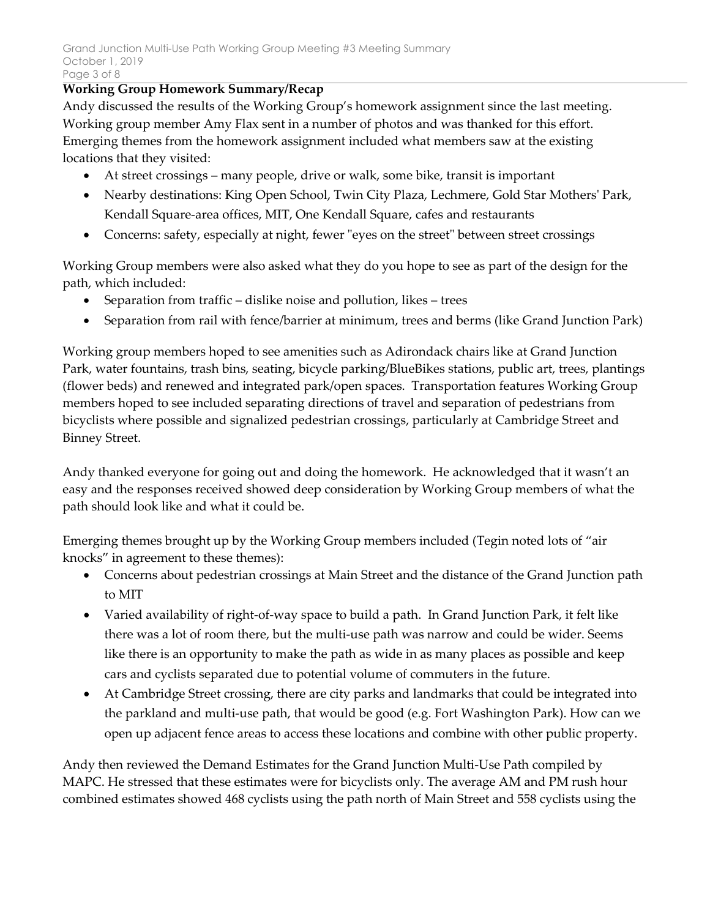#### **Working Group Homework Summary/Recap**

Andy discussed the results of the Working Group's homework assignment since the last meeting. Working group member Amy Flax sent in a number of photos and was thanked for this effort. Emerging themes from the homework assignment included what members saw at the existing locations that they visited:

- At street crossings many people, drive or walk, some bike, transit is important
- Nearby destinations: King Open School, Twin City Plaza, Lechmere, Gold Star Mothers' Park, Kendall Square-area offices, MIT, One Kendall Square, cafes and restaurants
- Concerns: safety, especially at night, fewer "eyes on the street" between street crossings

Working Group members were also asked what they do you hope to see as part of the design for the path, which included:

- Separation from traffic dislike noise and pollution, likes trees
- Separation from rail with fence/barrier at minimum, trees and berms (like Grand Junction Park)

Working group members hoped to see amenities such as Adirondack chairs like at Grand Junction Park, water fountains, trash bins, seating, bicycle parking/BlueBikes stations, public art, trees, plantings (flower beds) and renewed and integrated park/open spaces. Transportation features Working Group members hoped to see included separating directions of travel and separation of pedestrians from bicyclists where possible and signalized pedestrian crossings, particularly at Cambridge Street and Binney Street.

Andy thanked everyone for going out and doing the homework. He acknowledged that it wasn't an easy and the responses received showed deep consideration by Working Group members of what the path should look like and what it could be.

Emerging themes brought up by the Working Group members included (Tegin noted lots of "air knocks" in agreement to these themes):

- Concerns about pedestrian crossings at Main Street and the distance of the Grand Junction path to MIT
- Varied availability of right-of-way space to build a path. In Grand Junction Park, it felt like there was a lot of room there, but the multi-use path was narrow and could be wider. Seems like there is an opportunity to make the path as wide in as many places as possible and keep cars and cyclists separated due to potential volume of commuters in the future.
- At Cambridge Street crossing, there are city parks and landmarks that could be integrated into the parkland and multi-use path, that would be good (e.g. Fort Washington Park). How can we open up adjacent fence areas to access these locations and combine with other public property.

Andy then reviewed the Demand Estimates for the Grand Junction Multi-Use Path compiled by MAPC. He stressed that these estimates were for bicyclists only. The average AM and PM rush hour combined estimates showed 468 cyclists using the path north of Main Street and 558 cyclists using the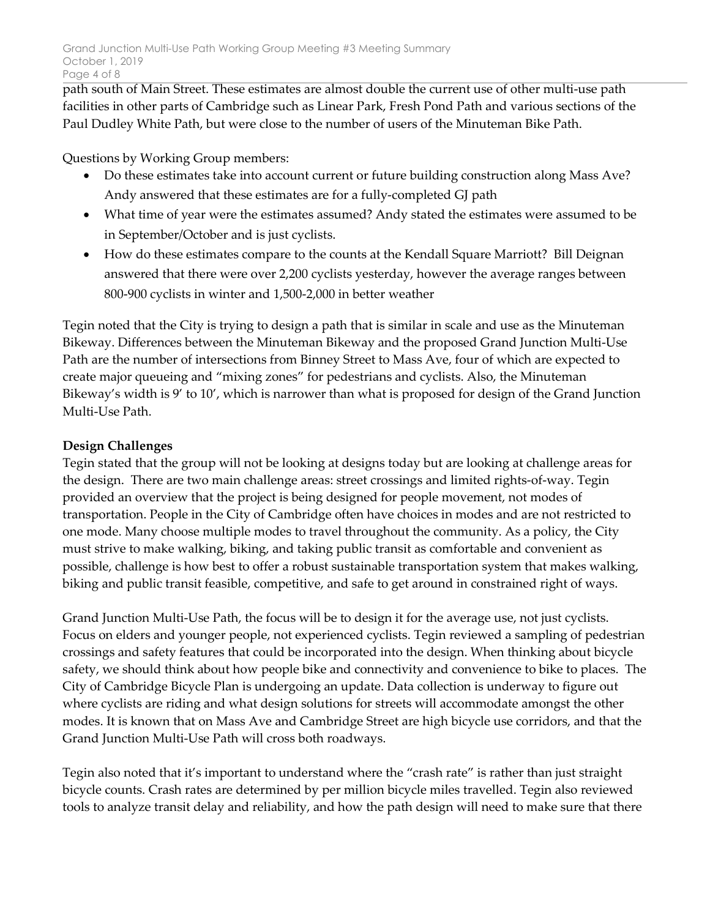path south of Main Street. These estimates are almost double the current use of other multi-use path facilities in other parts of Cambridge such as Linear Park, Fresh Pond Path and various sections of the Paul Dudley White Path, but were close to the number of users of the Minuteman Bike Path.

Questions by Working Group members:

- Do these estimates take into account current or future building construction along Mass Ave? Andy answered that these estimates are for a fully-completed GJ path
- What time of year were the estimates assumed? Andy stated the estimates were assumed to be in September/October and is just cyclists.
- How do these estimates compare to the counts at the Kendall Square Marriott? Bill Deignan answered that there were over 2,200 cyclists yesterday, however the average ranges between 800-900 cyclists in winter and 1,500-2,000 in better weather

Tegin noted that the City is trying to design a path that is similar in scale and use as the Minuteman Bikeway. Differences between the Minuteman Bikeway and the proposed Grand Junction Multi-Use Path are the number of intersections from Binney Street to Mass Ave, four of which are expected to create major queueing and "mixing zones" for pedestrians and cyclists. Also, the Minuteman Bikeway's width is 9' to 10', which is narrower than what is proposed for design of the Grand Junction Multi-Use Path.

# **Design Challenges**

Tegin stated that the group will not be looking at designs today but are looking at challenge areas for the design. There are two main challenge areas: street crossings and limited rights-of-way. Tegin provided an overview that the project is being designed for people movement, not modes of transportation. People in the City of Cambridge often have choices in modes and are not restricted to one mode. Many choose multiple modes to travel throughout the community. As a policy, the City must strive to make walking, biking, and taking public transit as comfortable and convenient as possible, challenge is how best to offer a robust sustainable transportation system that makes walking, biking and public transit feasible, competitive, and safe to get around in constrained right of ways.

Grand Junction Multi-Use Path, the focus will be to design it for the average use, not just cyclists. Focus on elders and younger people, not experienced cyclists. Tegin reviewed a sampling of pedestrian crossings and safety features that could be incorporated into the design. When thinking about bicycle safety, we should think about how people bike and connectivity and convenience to bike to places. The City of Cambridge Bicycle Plan is undergoing an update. Data collection is underway to figure out where cyclists are riding and what design solutions for streets will accommodate amongst the other modes. It is known that on Mass Ave and Cambridge Street are high bicycle use corridors, and that the Grand Junction Multi-Use Path will cross both roadways.

Tegin also noted that it's important to understand where the "crash rate" is rather than just straight bicycle counts. Crash rates are determined by per million bicycle miles travelled. Tegin also reviewed tools to analyze transit delay and reliability, and how the path design will need to make sure that there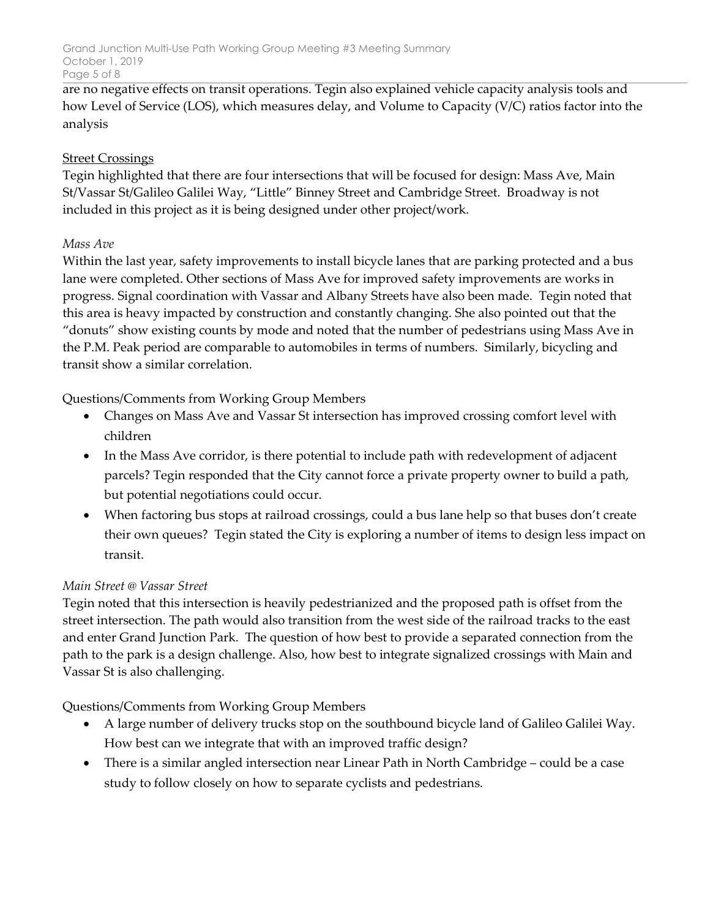are no negative effects on transit operations. Tegin also explained vehicle capacity analysis tools and how Level of Service (LOS), which measures delay, and Volume to Capacity (V/C) ratios factor into the analysis

# **Street Crossings**

Tegin highlighted that there are four intersections that will be focused for design: Mass Ave, Main St/Vassar St/Galileo Galilei Way, "Little" Binney Street and Cambridge Street. Broadway is not included in this project as it is being designed under other project/work.

# *Mass Ave*

Within the last year, safety improvements to install bicycle lanes that are parking protected and a bus lane were completed. Other sections of Mass Ave for improved safety improvements are works in progress. Signal coordination with Vassar and Albany Streets have also been made. Tegin noted that this area is heavy impacted by construction and constantly changing. She also pointed out that the "donuts" show existing counts by mode and noted that the number of pedestrians using Mass Ave in the P.M. Peak period are comparable to automobiles in terms of numbers. Similarly, bicycling and transit show a similar correlation.

Questions/Comments from Working Group Members

- Changes on Mass Ave and Vassar St intersection has improved crossing comfort level with children
- In the Mass Ave corridor, is there potential to include path with redevelopment of adjacent parcels? Tegin responded that the City cannot force a private property owner to build a path, but potential negotiations could occur.
- When factoring bus stops at railroad crossings, could a bus lane help so that buses don't create their own queues? Tegin stated the City is exploring a number of items to design less impact on transit.

#### *Main Street @ Vassar Street*

Tegin noted that this intersection is heavily pedestrianized and the proposed path is offset from the street intersection. The path would also transition from the west side of the railroad tracks to the east and enter Grand Junction Park. The question of how best to provide a separated connection from the path to the park is a design challenge. Also, how best to integrate signalized crossings with Main and Vassar St is also challenging.

Questions/Comments from Working Group Members

- A large number of delivery trucks stop on the southbound bicycle land of Galileo Galilei Way. How best can we integrate that with an improved traffic design?
- There is a similar angled intersection near Linear Path in North Cambridge could be a case study to follow closely on how to separate cyclists and pedestrians.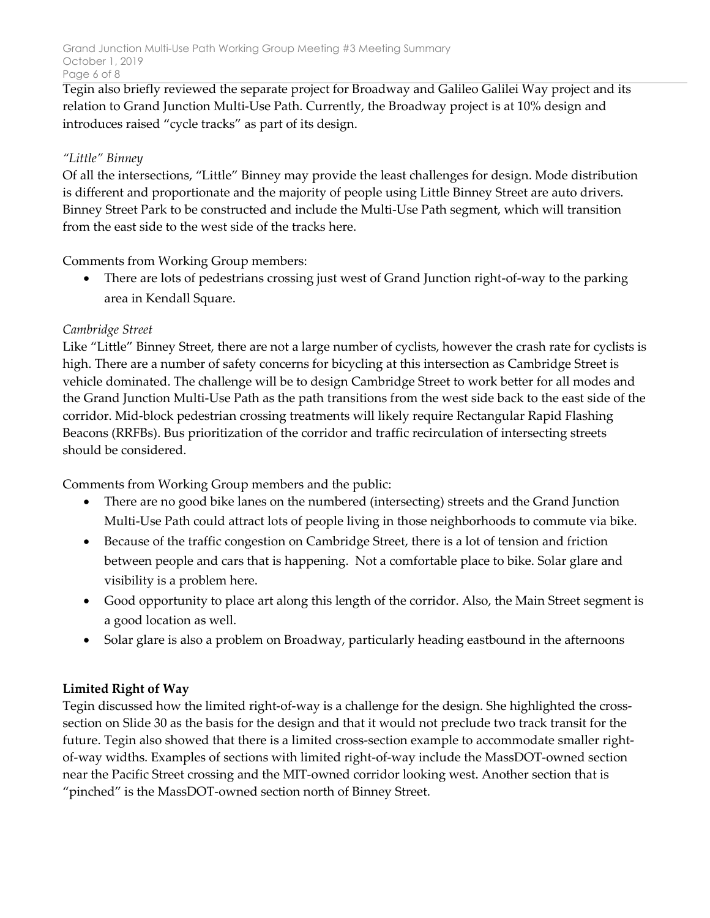Tegin also briefly reviewed the separate project for Broadway and Galileo Galilei Way project and its relation to Grand Junction Multi-Use Path. Currently, the Broadway project is at 10% design and introduces raised "cycle tracks" as part of its design.

# *"Little" Binney*

Of all the intersections, "Little" Binney may provide the least challenges for design. Mode distribution is different and proportionate and the majority of people using Little Binney Street are auto drivers. Binney Street Park to be constructed and include the Multi-Use Path segment, which will transition from the east side to the west side of the tracks here.

Comments from Working Group members:

• There are lots of pedestrians crossing just west of Grand Junction right-of-way to the parking area in Kendall Square.

# *Cambridge Street*

Like "Little" Binney Street, there are not a large number of cyclists, however the crash rate for cyclists is high. There are a number of safety concerns for bicycling at this intersection as Cambridge Street is vehicle dominated. The challenge will be to design Cambridge Street to work better for all modes and the Grand Junction Multi-Use Path as the path transitions from the west side back to the east side of the corridor. Mid-block pedestrian crossing treatments will likely require Rectangular Rapid Flashing Beacons (RRFBs). Bus prioritization of the corridor and traffic recirculation of intersecting streets should be considered.

Comments from Working Group members and the public:

- There are no good bike lanes on the numbered (intersecting) streets and the Grand Junction Multi-Use Path could attract lots of people living in those neighborhoods to commute via bike.
- Because of the traffic congestion on Cambridge Street, there is a lot of tension and friction between people and cars that is happening. Not a comfortable place to bike. Solar glare and visibility is a problem here.
- Good opportunity to place art along this length of the corridor. Also, the Main Street segment is a good location as well.
- Solar glare is also a problem on Broadway, particularly heading eastbound in the afternoons

# **Limited Right of Way**

Tegin discussed how the limited right-of-way is a challenge for the design. She highlighted the crosssection on Slide 30 as the basis for the design and that it would not preclude two track transit for the future. Tegin also showed that there is a limited cross-section example to accommodate smaller rightof-way widths. Examples of sections with limited right-of-way include the MassDOT-owned section near the Pacific Street crossing and the MIT-owned corridor looking west. Another section that is "pinched" is the MassDOT-owned section north of Binney Street.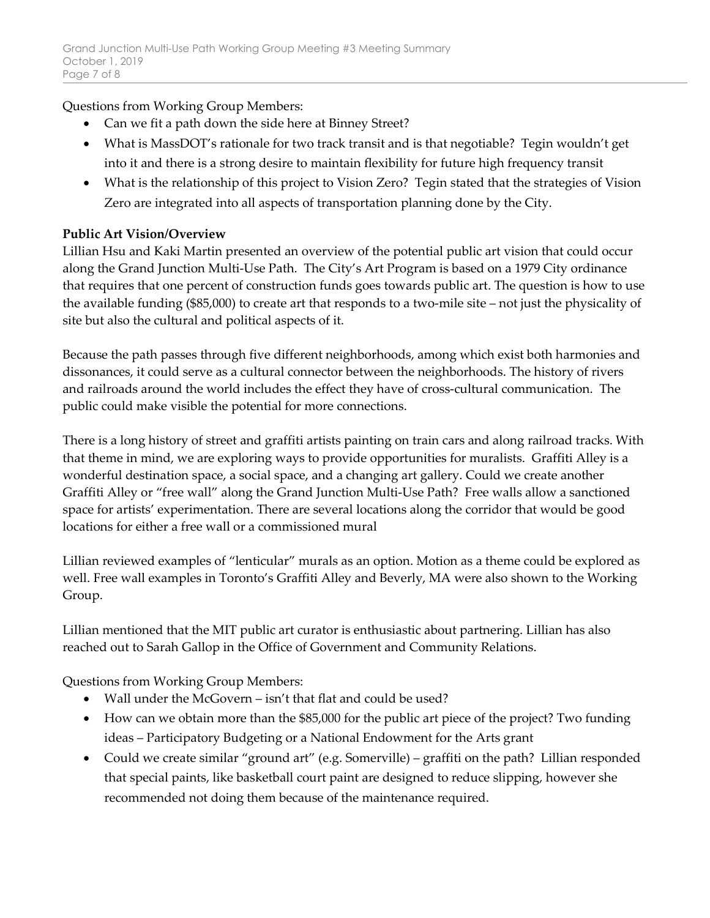Questions from Working Group Members:

- Can we fit a path down the side here at Binney Street?
- What is MassDOT's rationale for two track transit and is that negotiable? Tegin wouldn't get into it and there is a strong desire to maintain flexibility for future high frequency transit
- What is the relationship of this project to Vision Zero? Tegin stated that the strategies of Vision Zero are integrated into all aspects of transportation planning done by the City.

# **Public Art Vision/Overview**

Lillian Hsu and Kaki Martin presented an overview of the potential public art vision that could occur along the Grand Junction Multi-Use Path. The City's Art Program is based on a 1979 City ordinance that requires that one percent of construction funds goes towards public art. The question is how to use the available funding (\$85,000) to create art that responds to a two-mile site – not just the physicality of site but also the cultural and political aspects of it.

Because the path passes through five different neighborhoods, among which exist both harmonies and dissonances, it could serve as a cultural connector between the neighborhoods. The history of rivers and railroads around the world includes the effect they have of cross-cultural communication. The public could make visible the potential for more connections.

There is a long history of street and graffiti artists painting on train cars and along railroad tracks. With that theme in mind, we are exploring ways to provide opportunities for muralists. Graffiti Alley is a wonderful destination space, a social space, and a changing art gallery. Could we create another Graffiti Alley or "free wall" along the Grand Junction Multi-Use Path? Free walls allow a sanctioned space for artists' experimentation. There are several locations along the corridor that would be good locations for either a free wall or a commissioned mural

Lillian reviewed examples of "lenticular" murals as an option. Motion as a theme could be explored as well. Free wall examples in Toronto's Graffiti Alley and Beverly, MA were also shown to the Working Group.

Lillian mentioned that the MIT public art curator is enthusiastic about partnering. Lillian has also reached out to Sarah Gallop in the Office of Government and Community Relations.

Questions from Working Group Members:

- Wall under the McGovern isn't that flat and could be used?
- How can we obtain more than the \$85,000 for the public art piece of the project? Two funding ideas – Participatory Budgeting or a National Endowment for the Arts grant
- Could we create similar "ground art" (e.g. Somerville) graffiti on the path? Lillian responded that special paints, like basketball court paint are designed to reduce slipping, however she recommended not doing them because of the maintenance required.